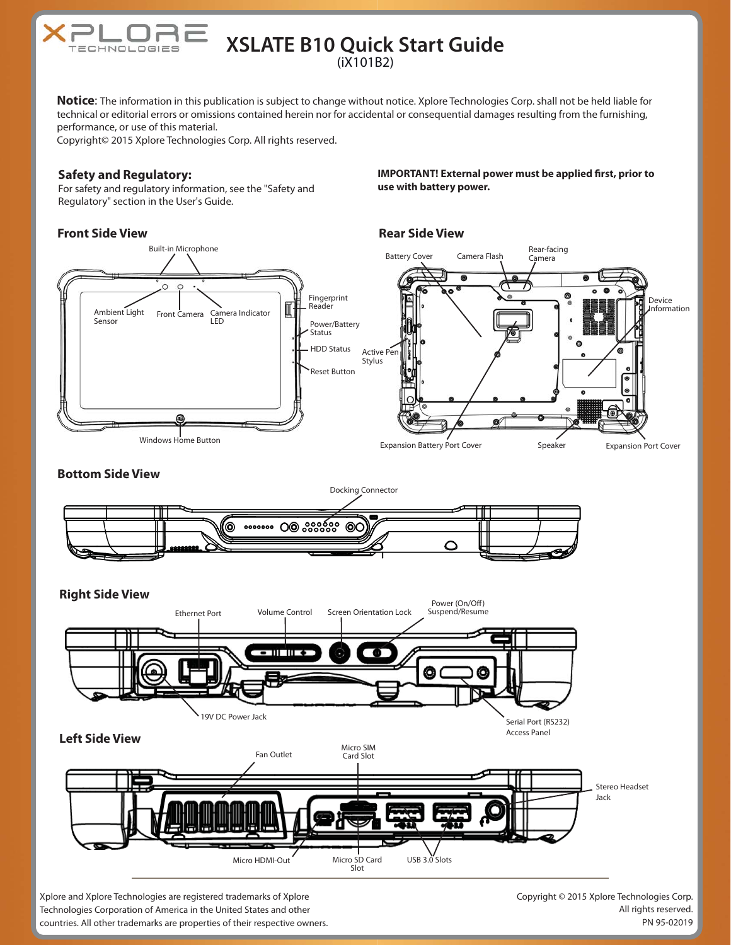

# **XSLATE B10 Quick Start Guide** (iX101B2)

**Notice**: The information in this publication is subject to change without notice. Xplore Technologies Corp. shall not be held liable for technical or editorial errors or omissions contained herein nor for accidental or consequential damages resulting from the furnishing, performance, or use of this material.

Copyright© 2015 Xplore Technologies Corp. All rights reserved.

### **Safety and Regulatory:**

For safety and regulatory information, see the "Safety and Regulatory" section in the User's Guide.

## **Front Side View**

**IMPORTANT! External power must be applied first, prior to use with battery power.**

### **Rear Side View**





Xplore and Xplore Technologies are registered trademarks of Xplore Technologies Corporation of America in the United States and other countries. All other trademarks are properties of their respective owners. Copyright © 2015 Xplore Technologies Corp. All rights reserved. PN 95-02019